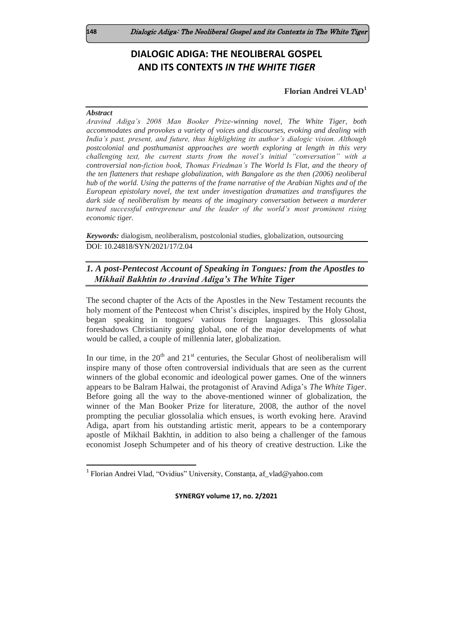# **DIALOGIC ADIGA: THE NEOLIBERAL GOSPEL AND ITS CONTEXTS** *IN THE WHITE TIGER*

## **Florian Andrei VLAD<sup>1</sup>**

#### *Abstract*

 $\overline{a}$ 

*Aravind Adiga's 2008 Man Booker Prize-winning novel, The White Tiger, both accommodates and provokes a variety of voices and discourses, evoking and dealing with India's past, present, and future, thus highlighting its author's dialogic vision. Although postcolonial and posthumanist approaches are worth exploring at length in this very challenging text, the current starts from the novel's initial "conversation" with a controversial non-fiction book, Thomas Friedman's The World Is Flat, and the theory of the ten flatteners that reshape globalization, with Bangalore as the then (2006) neoliberal hub of the world. Using the patterns of the frame narrative of the Arabian Nights and of the European epistolary novel, the text under investigation dramatizes and transfigures the dark side of neoliberalism by means of the imaginary conversation between a murderer turned successful entrepreneur and the leader of the world's most prominent rising economic tiger.* 

*Keywords:* dialogism, neoliberalism, postcolonial studies, globalization, outsourcing DOI: 10.24818/SYN/2021/17/2.04

## *1. A post-Pentecost Account of Speaking in Tongues: from the Apostles to Mikhail Bakhtin to Aravind Adiga's The White Tiger*

The second chapter of the Acts of the Apostles in the New Testament recounts the holy moment of the Pentecost when Christ's disciples, inspired by the Holy Ghost, began speaking in tongues/ various foreign languages. This glossolalia foreshadows Christianity going global, one of the major developments of what would be called, a couple of millennia later, globalization.

In our time, in the  $20<sup>th</sup>$  and  $21<sup>st</sup>$  centuries, the Secular Ghost of neoliberalism will inspire many of those often controversial individuals that are seen as the current winners of the global economic and ideological power games. One of the winners appears to be Balram Halwai, the protagonist of Aravind Adiga's *The White Tiger*. Before going all the way to the above-mentioned winner of globalization, the winner of the Man Booker Prize for literature, 2008, the author of the novel prompting the peculiar glossolalia which ensues, is worth evoking here. Aravind Adiga, apart from his outstanding artistic merit, appears to be a contemporary apostle of Mikhail Bakhtin, in addition to also being a challenger of the famous economist Joseph Schumpeter and of his theory of creative destruction. Like the

<sup>&</sup>lt;sup>1</sup> Florian Andrei Vlad, "Ovidius" University, Constanța, af\_vlad@yahoo.com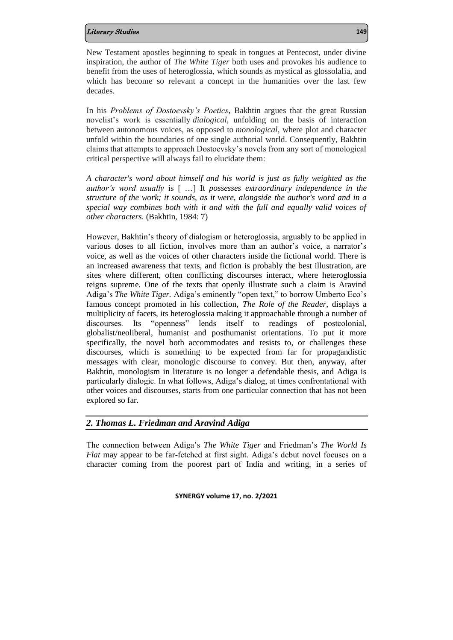New Testament apostles beginning to speak in tongues at Pentecost, under divine inspiration, the author of *The White Tiger* both uses and provokes his audience to benefit from the uses of heteroglossia, which sounds as mystical as glossolalia, and which has become so relevant a concept in the humanities over the last few decades.

In his *Problems of Dostoevsky's Poetics*, Bakhtin argues that the great Russian novelist's work is essentially *dialogical*, unfolding on the basis of interaction between autonomous voices, as opposed to *monological*, where plot and character unfold within the boundaries of one single authorial world. Consequently, Bakhtin claims that attempts to approach Dostoevsky's novels from any sort of monological critical perspective will always fail to elucidate them:

*A character's word about himself and his world is just as fully weighted as the author's word usually* is [ …] It *possesses extraordinary independence in the structure of the work; it sounds, as it were, alongside the author's word and in a special way combines both with it and with the full and equally valid voices of other characters.* (Bakhtin, 1984: 7)

However, Bakhtin's theory of dialogism or heteroglossia, arguably to be applied in various doses to all fiction, involves more than an author's voice, a narrator's voice, as well as the voices of other characters inside the fictional world. There is an increased awareness that texts, and fiction is probably the best illustration, are sites where different, often conflicting discourses interact, where heteroglossia reigns supreme. One of the texts that openly illustrate such a claim is Aravind Adiga's *The White Tiger.* Adiga's eminently "open text," to borrow Umberto Eco's famous concept promoted in his collection, *The Role of the Reader*, displays a multiplicity of facets, its heteroglossia making it approachable through a number of discourses. Its "openness" lends itself to readings of postcolonial, globalist/neoliberal, humanist and posthumanist orientations. To put it more specifically, the novel both accommodates and resists to, or challenges these discourses, which is something to be expected from far for propagandistic messages with clear, monologic discourse to convey. But then, anyway, after Bakhtin, monologism in literature is no longer a defendable thesis, and Adiga is particularly dialogic. In what follows, Adiga's dialog, at times confrontational with other voices and discourses, starts from one particular connection that has not been explored so far.

## *2. Thomas L. Friedman and Aravind Adiga*

The connection between Adiga's *The White Tiger* and Friedman's *The World Is Flat* may appear to be far-fetched at first sight. Adiga's debut novel focuses on a character coming from the poorest part of India and writing, in a series of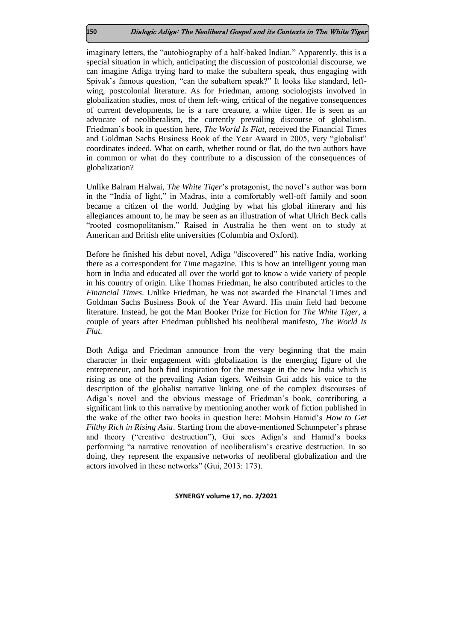imaginary letters, the "autobiography of a half-baked Indian." Apparently, this is a special situation in which, anticipating the discussion of postcolonial discourse, we can imagine Adiga trying hard to make the subaltern speak, thus engaging with Spivak's famous question, "can the subaltern speak?" It looks like standard, leftwing, postcolonial literature. As for Friedman, among sociologists involved in globalization studies, most of them left-wing, critical of the negative consequences of current developments, he is a rare creature, a white tiger. He is seen as an advocate of neoliberalism, the currently prevailing discourse of globalism. Friedman's book in question here, *The World Is Flat*, received the Financial Times and Goldman Sachs Business Book of the Year Award in 2005, very "globalist" coordinates indeed. What on earth, whether round or flat, do the two authors have in common or what do they contribute to a discussion of the consequences of globalization?

Unlike Balram Halwai, *The White Tiger*'s protagonist, the novel's author was born in the "India of light," in Madras, into a comfortably well-off family and soon became a citizen of the world. Judging by what his global itinerary and his allegiances amount to, he may be seen as an illustration of what Ulrich Beck calls "rooted cosmopolitanism." Raised in Australia he then went on to study at American and British elite universities (Columbia and Oxford).

Before he finished his debut novel, Adiga "discovered" his native India, working there as a correspondent for *Time* magazine. This is how an intelligent young man born in India and educated all over the world got to know a wide variety of people in his country of origin. Like Thomas Friedman, he also contributed articles to the *Financial Times*. Unlike Friedman, he was not awarded the Financial Times and Goldman Sachs Business Book of the Year Award. His main field had become literature. Instead, he got the Man Booker Prize for Fiction for *The White Tiger*, a couple of years after Friedman published his neoliberal manifesto, *The World Is Flat.*

Both Adiga and Friedman announce from the very beginning that the main character in their engagement with globalization is the emerging figure of the entrepreneur, and both find inspiration for the message in the new India which is rising as one of the prevailing Asian tigers. Weihsin Gui adds his voice to the description of the globalist narrative linking one of the complex discourses of Adiga's novel and the obvious message of Friedman's book, contributing a significant link to this narrative by mentioning another work of fiction published in the wake of the other two books in question here: Mohsin Hamid's *How to Get Filthy Rich in Rising Asia*. Starting from the above-mentioned Schumpeter's phrase and theory ("creative destruction"), Gui sees Adiga's and Hamid's books performing "a narrative renovation of neoliberalism's creative destruction. In so doing, they represent the expansive networks of neoliberal globalization and the actors involved in these networks" (Gui, 2013: 173).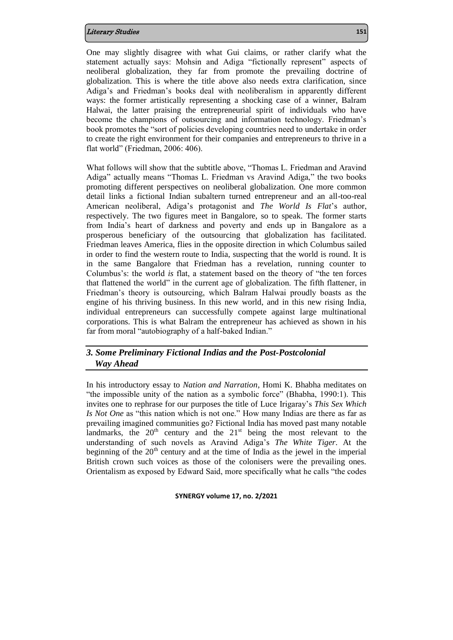One may slightly disagree with what Gui claims, or rather clarify what the statement actually says: Mohsin and Adiga "fictionally represent" aspects of neoliberal globalization, they far from promote the prevailing doctrine of globalization. This is where the title above also needs extra clarification, since Adiga's and Friedman's books deal with neoliberalism in apparently different ways: the former artistically representing a shocking case of a winner, Balram Halwai, the latter praising the entrepreneurial spirit of individuals who have become the champions of outsourcing and information technology. Friedman's book promotes the "sort of policies developing countries need to undertake in order to create the right environment for their companies and entrepreneurs to thrive in a flat world" (Friedman, 2006: 406).

What follows will show that the subtitle above, "Thomas L. Friedman and Aravind Adiga" actually means "Thomas L. Friedman vs Aravind Adiga," the two books promoting different perspectives on neoliberal globalization. One more common detail links a fictional Indian subaltern turned entrepreneur and an all-too-real American neoliberal, Adiga's protagonist and *The World Is Flat*'s author, respectively. The two figures meet in Bangalore, so to speak. The former starts from India's heart of darkness and poverty and ends up in Bangalore as a prosperous beneficiary of the outsourcing that globalization has facilitated. Friedman leaves America, flies in the opposite direction in which Columbus sailed in order to find the western route to India, suspecting that the world is round. It is in the same Bangalore that Friedman has a revelation, running counter to Columbus's: the world *is* flat, a statement based on the theory of "the ten forces that flattened the world" in the current age of globalization. The fifth flattener, in Friedman's theory is outsourcing, which Balram Halwai proudly boasts as the engine of his thriving business. In this new world, and in this new rising India, individual entrepreneurs can successfully compete against large multinational corporations. This is what Balram the entrepreneur has achieved as shown in his far from moral "autobiography of a half-baked Indian."

## *3. Some Preliminary Fictional Indias and the Post-Postcolonial Way Ahead*

In his introductory essay to *Nation and Narration*, Homi K. Bhabha meditates on "the impossible unity of the nation as a symbolic force" (Bhabha, 1990:1). This invites one to rephrase for our purposes the title of Luce Irigaray's *This Sex Which Is Not One* as "this nation which is not one." How many Indias are there as far as prevailing imagined communities go? Fictional India has moved past many notable landmarks, the  $20<sup>th</sup>$  century and the  $21<sup>st</sup>$  being the most relevant to the understanding of such novels as Aravind Adiga's *The White Tiger*. At the beginning of the  $20<sup>th</sup>$  century and at the time of India as the jewel in the imperial British crown such voices as those of the colonisers were the prevailing ones. Orientalism as exposed by Edward Said, more specifically what he calls "the codes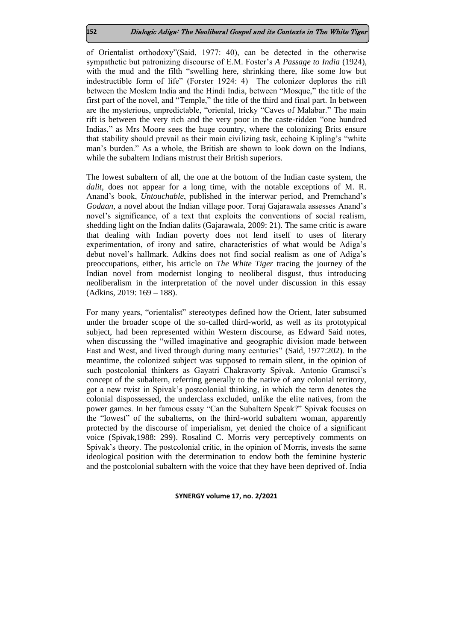of Orientalist orthodoxy"(Said, 1977: 40), can be detected in the otherwise sympathetic but patronizing discourse of E.M. Foster's *A Passage to India* (1924), with the mud and the filth "swelling here, shrinking there, like some low but indestructible form of life" (Forster 1924: 4) The colonizer deplores the rift between the Moslem India and the Hindi India, between "Mosque," the title of the first part of the novel, and "Temple," the title of the third and final part. In between are the mysterious, unpredictable, "oriental, tricky "Caves of Malabar." The main rift is between the very rich and the very poor in the caste-ridden "one hundred Indias," as Mrs Moore sees the huge country, where the colonizing Brits ensure that stability should prevail as their main civilizing task, echoing Kipling's "white man's burden." As a whole, the British are shown to look down on the Indians, while the subaltern Indians mistrust their British superiors.

The lowest subaltern of all, the one at the bottom of the Indian caste system, the *dalit*, does not appear for a long time, with the notable exceptions of M. R. Anand's book, *Untouchable*, published in the interwar period, and Premchand's *Godaan,* a novel about the Indian village poor. Toraj Gajarawala assesses Anand's novel's significance, of a text that exploits the conventions of social realism, shedding light on the Indian dalits (Gajarawala, 2009: 21). The same critic is aware that dealing with Indian poverty does not lend itself to uses of literary experimentation, of irony and satire, characteristics of what would be Adiga's debut novel's hallmark. Adkins does not find social realism as one of Adiga's preoccupations, either, his article on *The White Tiger* tracing the journey of the Indian novel from modernist longing to neoliberal disgust, thus introducing neoliberalism in the interpretation of the novel under discussion in this essay (Adkins, 2019: 169 – 188).

For many years, "orientalist" stereotypes defined how the Orient, later subsumed under the broader scope of the so-called third-world, as well as its prototypical subject, had been represented within Western discourse, as Edward Said notes, when discussing the "willed imaginative and geographic division made between East and West, and lived through during many centuries" (Said, 1977:202). In the meantime, the colonized subject was supposed to remain silent, in the opinion of such postcolonial thinkers as Gayatri Chakravorty Spivak. Antonio Gramsci's concept of the subaltern, referring generally to the native of any colonial territory, got a new twist in Spivak's postcolonial thinking, in which the term denotes the colonial dispossessed, the underclass excluded, unlike the elite natives, from the power games. In her famous essay "Can the Subaltern Speak?" Spivak focuses on the "lowest" of the subalterns, on the third-world subaltern woman, apparently protected by the discourse of imperialism, yet denied the choice of a significant voice (Spivak,1988: 299). Rosalind C. Morris very perceptively comments on Spivak's theory. The postcolonial critic, in the opinion of Morris, invests the same ideological position with the determination to endow both the feminine hysteric and the postcolonial subaltern with the voice that they have been deprived of. India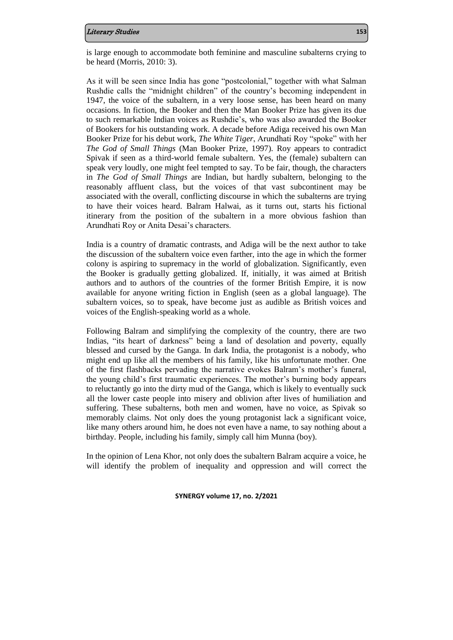is large enough to accommodate both feminine and masculine subalterns crying to be heard (Morris, 2010: 3).

As it will be seen since India has gone "postcolonial," together with what Salman Rushdie calls the "midnight children" of the country's becoming independent in 1947, the voice of the subaltern, in a very loose sense, has been heard on many occasions. In fiction, the Booker and then the Man Booker Prize has given its due to such remarkable Indian voices as Rushdie's, who was also awarded the Booker of Bookers for his outstanding work. A decade before Adiga received his own Man Booker Prize for his debut work, *The White Tiger*, Arundhati Roy "spoke" with her *The God of Small Things* (Man Booker Prize, 1997). Roy appears to contradict Spivak if seen as a third-world female subaltern. Yes, the (female) subaltern can speak very loudly, one might feel tempted to say. To be fair, though, the characters in *The God of Small Things* are Indian, but hardly subaltern, belonging to the reasonably affluent class, but the voices of that vast subcontinent may be associated with the overall, conflicting discourse in which the subalterns are trying to have their voices heard. Balram Halwai, as it turns out, starts his fictional itinerary from the position of the subaltern in a more obvious fashion than Arundhati Roy or Anita Desai's characters.

India is a country of dramatic contrasts, and Adiga will be the next author to take the discussion of the subaltern voice even farther, into the age in which the former colony is aspiring to supremacy in the world of globalization. Significantly, even the Booker is gradually getting globalized. If, initially, it was aimed at British authors and to authors of the countries of the former British Empire, it is now available for anyone writing fiction in English (seen as a global language). The subaltern voices, so to speak, have become just as audible as British voices and voices of the English-speaking world as a whole.

Following Balram and simplifying the complexity of the country, there are two Indias, "its heart of darkness" being a land of desolation and poverty, equally blessed and cursed by the Ganga. In dark India, the protagonist is a nobody, who might end up like all the members of his family, like his unfortunate mother. One of the first flashbacks pervading the narrative evokes Balram's mother's funeral, the young child's first traumatic experiences. The mother's burning body appears to reluctantly go into the dirty mud of the Ganga, which is likely to eventually suck all the lower caste people into misery and oblivion after lives of humiliation and suffering. These subalterns, both men and women, have no voice, as Spivak so memorably claims. Not only does the young protagonist lack a significant voice, like many others around him, he does not even have a name, to say nothing about a birthday. People, including his family, simply call him Munna (boy).

In the opinion of Lena Khor, not only does the subaltern Balram acquire a voice, he will identify the problem of inequality and oppression and will correct the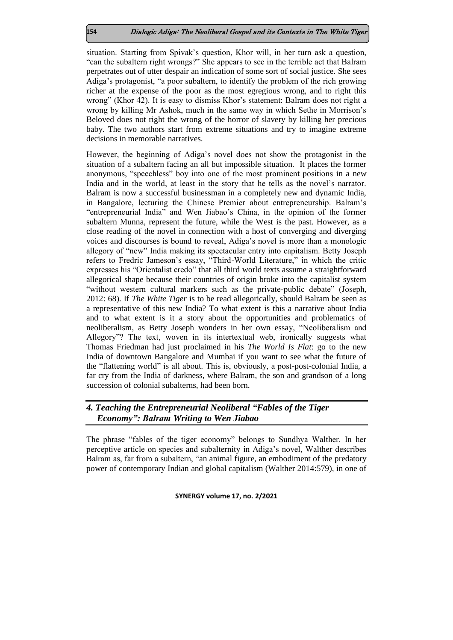situation. Starting from Spivak's question, Khor will, in her turn ask a question, "can the subaltern right wrongs?" She appears to see in the terrible act that Balram perpetrates out of utter despair an indication of some sort of social justice. She sees Adiga's protagonist, "a poor subaltern, to identify the problem of the rich growing richer at the expense of the poor as the most egregious wrong, and to right this wrong" (Khor 42). It is easy to dismiss Khor's statement: Balram does not right a wrong by killing Mr Ashok, much in the same way in which Sethe in Morrison's Beloved does not right the wrong of the horror of slavery by killing her precious baby. The two authors start from extreme situations and try to imagine extreme decisions in memorable narratives.

However, the beginning of Adiga's novel does not show the protagonist in the situation of a subaltern facing an all but impossible situation. It places the former anonymous, "speechless" boy into one of the most prominent positions in a new India and in the world, at least in the story that he tells as the novel's narrator. Balram is now a successful businessman in a completely new and dynamic India, in Bangalore, lecturing the Chinese Premier about entrepreneurship. Balram's "entrepreneurial India" and Wen Jiabao's China, in the opinion of the former subaltern Munna, represent the future, while the West is the past. However, as a close reading of the novel in connection with a host of converging and diverging voices and discourses is bound to reveal, Adiga's novel is more than a monologic allegory of "new" India making its spectacular entry into capitalism. Betty Joseph refers to Fredric Jameson's essay, "Third-World Literature," in which the critic expresses his "Orientalist credo" that all third world texts assume a straightforward allegorical shape because their countries of origin broke into the capitalist system "without western cultural markers such as the private-public debate" (Joseph, 2012: 68). If *The White Tiger* is to be read allegorically, should Balram be seen as a representative of this new India? To what extent is this a narrative about India and to what extent is it a story about the opportunities and problematics of neoliberalism, as Betty Joseph wonders in her own essay, "Neoliberalism and Allegory"? The text, woven in its intertextual web, ironically suggests what Thomas Friedman had just proclaimed in his *The World Is Flat*: go to the new India of downtown Bangalore and Mumbai if you want to see what the future of the "flattening world" is all about. This is, obviously, a post-post-colonial India, a far cry from the India of darkness, where Balram, the son and grandson of a long succession of colonial subalterns, had been born.

## *4. Teaching the Entrepreneurial Neoliberal "Fables of the Tiger Economy": Balram Writing to Wen Jiabao*

The phrase "fables of the tiger economy" belongs to Sundhya Walther. In her perceptive article on species and subalternity in Adiga's novel, Walther describes Balram as, far from a subaltern, "an animal figure, an embodiment of the predatory power of contemporary Indian and global capitalism (Walther 2014:579), in one of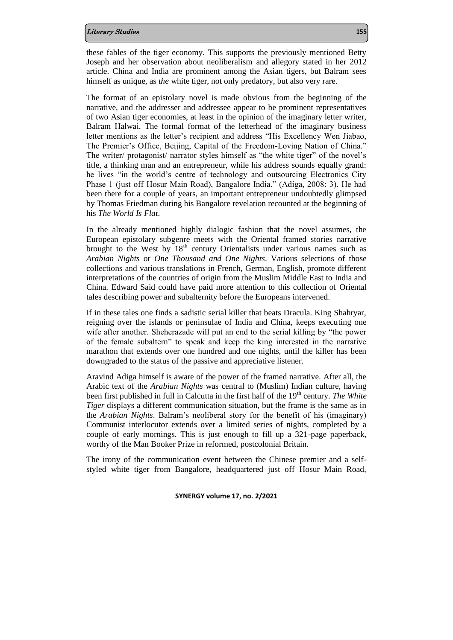these fables of the tiger economy. This supports the previously mentioned Betty Joseph and her observation about neoliberalism and allegory stated in her 2012 article. China and India are prominent among the Asian tigers, but Balram sees himself as unique, as *the* white tiger, not only predatory, but also very rare.

The format of an epistolary novel is made obvious from the beginning of the narrative, and the addresser and addressee appear to be prominent representatives of two Asian tiger economies, at least in the opinion of the imaginary letter writer, Balram Halwai. The formal format of the letterhead of the imaginary business letter mentions as the letter's recipient and address "His Excellency Wen Jiabao, The Premier's Office, Beijing, Capital of the Freedom-Loving Nation of China." The writer/ protagonist/ narrator styles himself as "the white tiger" of the novel's title, a thinking man and an entrepreneur, while his address sounds equally grand: he lives "in the world's centre of technology and outsourcing Electronics City Phase 1 (just off Hosur Main Road), Bangalore India." (Adiga, 2008: 3). He had been there for a couple of years, an important entrepreneur undoubtedly glimpsed by Thomas Friedman during his Bangalore revelation recounted at the beginning of his *The World Is Flat*.

In the already mentioned highly dialogic fashion that the novel assumes, the European epistolary subgenre meets with the Oriental framed stories narrative brought to the West by  $18<sup>th</sup>$  century Orientalists under various names such as *Arabian Nights* or *One Thousand and One Nights*. Various selections of those collections and various translations in French, German, English, promote different interpretations of the countries of origin from the Muslim Middle East to India and China. Edward Said could have paid more attention to this collection of Oriental tales describing power and subalternity before the Europeans intervened.

If in these tales one finds a sadistic serial killer that beats Dracula. King Shahryar, reigning over the islands or peninsulae of India and China, keeps executing one wife after another. Sheherazade will put an end to the serial killing by "the power of the female subaltern" to speak and keep the king interested in the narrative marathon that extends over one hundred and one nights, until the killer has been downgraded to the status of the passive and appreciative listener.

Aravind Adiga himself is aware of the power of the framed narrative. After all, the Arabic text of the *Arabian Nights* was central to (Muslim) Indian culture, having been first published in full in Calcutta in the first half of the 19<sup>th</sup> century. *The White Tiger* displays a different communication situation, but the frame is the same as in the *Arabian Nights*. Balram's neoliberal story for the benefit of his (imaginary) Communist interlocutor extends over a limited series of nights, completed by a couple of early mornings. This is just enough to fill up a 321-page paperback, worthy of the Man Booker Prize in reformed, postcolonial Britain.

The irony of the communication event between the Chinese premier and a selfstyled white tiger from Bangalore, headquartered just off Hosur Main Road,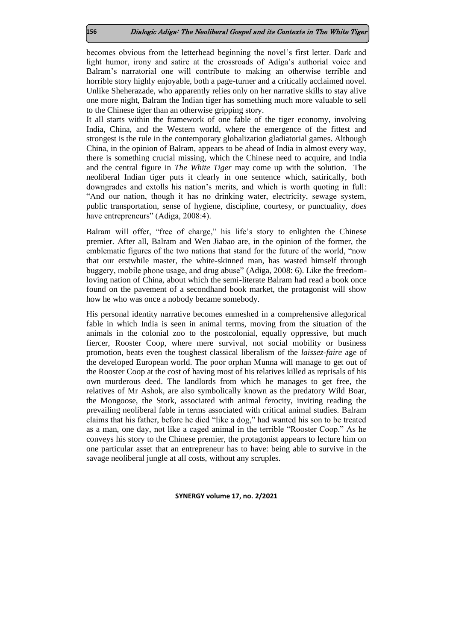becomes obvious from the letterhead beginning the novel's first letter. Dark and light humor, irony and satire at the crossroads of Adiga's authorial voice and Balram's narratorial one will contribute to making an otherwise terrible and horrible story highly enjoyable, both a page-turner and a critically acclaimed novel. Unlike Sheherazade, who apparently relies only on her narrative skills to stay alive one more night, Balram the Indian tiger has something much more valuable to sell to the Chinese tiger than an otherwise gripping story.

It all starts within the framework of one fable of the tiger economy, involving India, China, and the Western world, where the emergence of the fittest and strongest is the rule in the contemporary globalization gladiatorial games. Although China, in the opinion of Balram, appears to be ahead of India in almost every way, there is something crucial missing, which the Chinese need to acquire, and India and the central figure in *The White Tiger* may come up with the solution. The neoliberal Indian tiger puts it clearly in one sentence which, satirically, both downgrades and extolls his nation's merits, and which is worth quoting in full: "And our nation, though it has no drinking water, electricity, sewage system, public transportation, sense of hygiene, discipline, courtesy, or punctuality, *does*  have entrepreneurs" (Adiga, 2008:4).

Balram will offer, "free of charge," his life's story to enlighten the Chinese premier. After all, Balram and Wen Jiabao are, in the opinion of the former, the emblematic figures of the two nations that stand for the future of the world, "now that our erstwhile master, the white-skinned man, has wasted himself through buggery, mobile phone usage, and drug abuse" (Adiga, 2008: 6). Like the freedomloving nation of China, about which the semi-literate Balram had read a book once found on the pavement of a secondhand book market, the protagonist will show how he who was once a nobody became somebody.

His personal identity narrative becomes enmeshed in a comprehensive allegorical fable in which India is seen in animal terms, moving from the situation of the animals in the colonial zoo to the postcolonial, equally oppressive, but much fiercer, Rooster Coop, where mere survival, not social mobility or business promotion, beats even the toughest classical liberalism of the *laissez-faire* age of the developed European world. The poor orphan Munna will manage to get out of the Rooster Coop at the cost of having most of his relatives killed as reprisals of his own murderous deed. The landlords from which he manages to get free, the relatives of Mr Ashok, are also symbolically known as the predatory Wild Boar, the Mongoose, the Stork, associated with animal ferocity, inviting reading the prevailing neoliberal fable in terms associated with critical animal studies. Balram claims that his father, before he died "like a dog," had wanted his son to be treated as a man, one day, not like a caged animal in the terrible "Rooster Coop." As he conveys his story to the Chinese premier, the protagonist appears to lecture him on one particular asset that an entrepreneur has to have: being able to survive in the savage neoliberal jungle at all costs, without any scruples.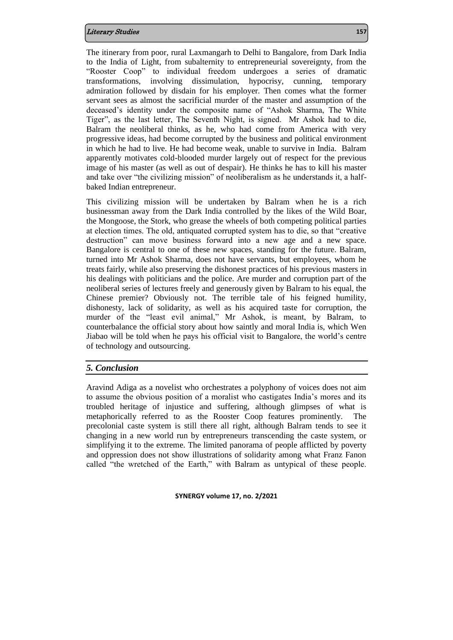The itinerary from poor, rural Laxmangarh to Delhi to Bangalore, from Dark India to the India of Light, from subalternity to entrepreneurial sovereignty, from the "Rooster Coop" to individual freedom undergoes a series of dramatic transformations, involving dissimulation, hypocrisy, cunning, temporary admiration followed by disdain for his employer. Then comes what the former servant sees as almost the sacrificial murder of the master and assumption of the deceased's identity under the composite name of "Ashok Sharma, The White Tiger", as the last letter, The Seventh Night, is signed. Mr Ashok had to die, Balram the neoliberal thinks, as he, who had come from America with very progressive ideas, had become corrupted by the business and political environment in which he had to live. He had become weak, unable to survive in India. Balram apparently motivates cold-blooded murder largely out of respect for the previous image of his master (as well as out of despair). He thinks he has to kill his master and take over "the civilizing mission" of neoliberalism as he understands it, a halfbaked Indian entrepreneur.

This civilizing mission will be undertaken by Balram when he is a rich businessman away from the Dark India controlled by the likes of the Wild Boar, the Mongoose, the Stork, who grease the wheels of both competing political parties at election times. The old, antiquated corrupted system has to die, so that "creative destruction" can move business forward into a new age and a new space. Bangalore is central to one of these new spaces, standing for the future. Balram, turned into Mr Ashok Sharma, does not have servants, but employees, whom he treats fairly, while also preserving the dishonest practices of his previous masters in his dealings with politicians and the police. Are murder and corruption part of the neoliberal series of lectures freely and generously given by Balram to his equal, the Chinese premier? Obviously not. The terrible tale of his feigned humility, dishonesty, lack of solidarity, as well as his acquired taste for corruption, the murder of the "least evil animal," Mr Ashok, is meant, by Balram, to counterbalance the official story about how saintly and moral India is, which Wen Jiabao will be told when he pays his official visit to Bangalore, the world's centre of technology and outsourcing.

## *5. Conclusion*

Aravind Adiga as a novelist who orchestrates a polyphony of voices does not aim to assume the obvious position of a moralist who castigates India's mores and its troubled heritage of injustice and suffering, although glimpses of what is metaphorically referred to as the Rooster Coop features prominently. The precolonial caste system is still there all right, although Balram tends to see it changing in a new world run by entrepreneurs transcending the caste system, or simplifying it to the extreme. The limited panorama of people afflicted by poverty and oppression does not show illustrations of solidarity among what Franz Fanon called "the wretched of the Earth," with Balram as untypical of these people.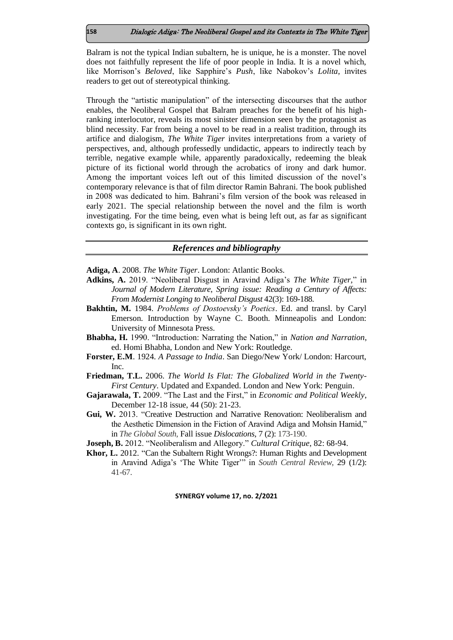Balram is not the typical Indian subaltern, he is unique, he is a monster. The novel does not faithfully represent the life of poor people in India. It is a novel which, like Morrison's *Beloved*, like Sapphire's *Push*, like Nabokov's *Lolita,* invites readers to get out of stereotypical thinking.

Through the "artistic manipulation" of the intersecting discourses that the author enables, the Neoliberal Gospel that Balram preaches for the benefit of his highranking interlocutor, reveals its most sinister dimension seen by the protagonist as blind necessity. Far from being a novel to be read in a realist tradition, through its artifice and dialogism, *The White Tiger* invites interpretations from a variety of perspectives, and, although professedly undidactic, appears to indirectly teach by terrible, negative example while, apparently paradoxically, redeeming the bleak picture of its fictional world through the acrobatics of irony and dark humor. Among the important voices left out of this limited discussion of the novel's contemporary relevance is that of film director Ramin Bahrani. The book published in 2008 was dedicated to him. Bahrani's film version of the book was released in early 2021. The special relationship between the novel and the film is worth investigating. For the time being, even what is being left out, as far as significant contexts go, is significant in its own right.

## *References and bibliography*

**Adiga, A**. 2008. *The White Tiger*. London: Atlantic Books.

- **Adkins, A.** 2019. "Neoliberal Disgust in Aravind Adiga's *The White Tiger,*" in *Journal of Modern Literature*, *Spring issue: Reading a Century of Affects: From Modernist Longing to Neoliberal Disgust* 42(3): 169-188.
- **Bakhtin, M.** 1984. *Problems of Dostoevsky's Poetics*. Ed. and transl. by Caryl Emerson. Introduction by Wayne C. Booth. Minneapolis and London: University of Minnesota Press.
- **Bhabha, H.** 1990. "Introduction: Narrating the Nation," in *Nation and Narration*, ed. Homi Bhabha, London and New York: Routledge.
- **Forster, E.M**. 1924. *A Passage to India*. San Diego/New York/ London: Harcourt, Inc.
- **Friedman, T.L.** 2006. *The World Is Flat: The Globalized World in the Twenty-First Century*. Updated and Expanded. London and New York: Penguin.
- **Gajarawala, T.** 2009. "The Last and the First," in *Economic and Political Weekly*, December 12-18 issue, 44 (50): 21-23.
- **Gui, W.** 2013. "Creative Destruction and Narrative Renovation: Neoliberalism and the Aesthetic Dimension in the Fiction of Aravind Adiga and Mohsin Hamid," in *The Global South*, Fall issue *Dislocations*, 7 (2): 173-190.
- **Joseph, B.** 2012. "Neoliberalism and Allegory." *Cultural Critique*, 82: 68-94.
- **Khor, L.** 2012. "Can the Subaltern Right Wrongs?: Human Rights and Development in Aravind Adiga's 'The White Tiger'" in *South Central Review*, 29 (1/2): 41-67.